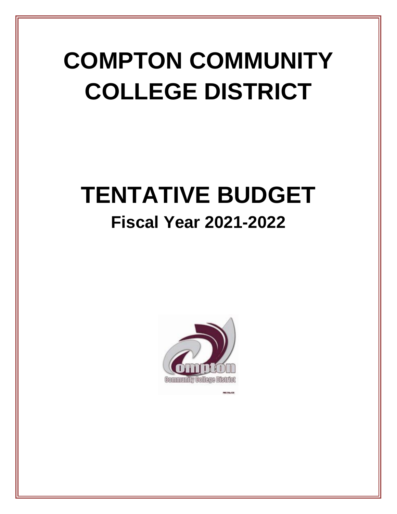# **COMPTON COMMUNITY COLLEGE DISTRICT**

# **TENTATIVE BUDGET Fiscal Year 2021-2022**

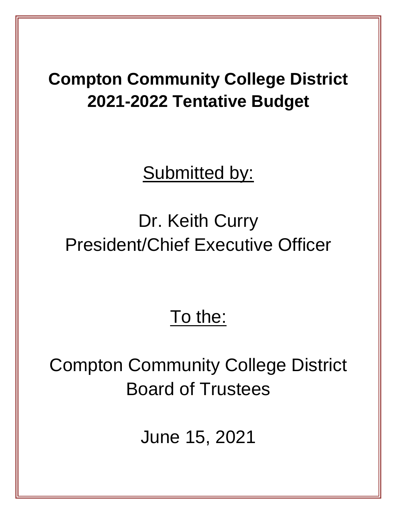### **Compton Community College District 2021-2022 Tentative Budget**

Submitted by:

## Dr. Keith Curry President/Chief Executive Officer

### To the:

## Compton Community College District Board of Trustees

June 15, 2021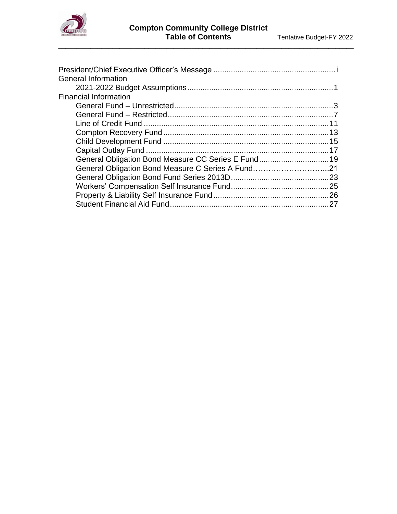

\_\_\_\_\_\_\_\_\_\_\_\_\_\_\_\_\_\_\_\_\_\_\_\_\_\_\_\_\_\_\_\_\_\_\_\_\_\_\_\_\_\_\_\_\_\_\_\_\_\_\_\_\_\_\_\_\_\_\_\_\_\_\_\_\_\_\_\_\_\_\_\_\_\_\_\_\_\_\_\_\_\_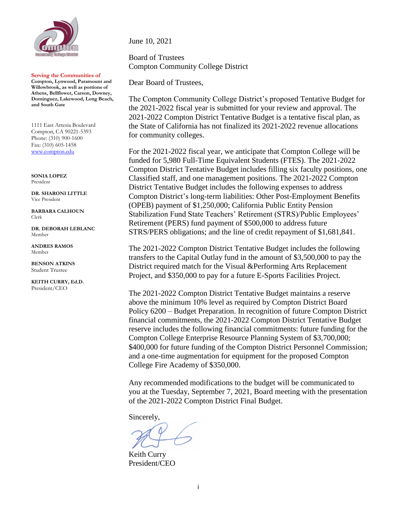

**Serving the Communities of Compton, Lynwood, Paramount and Willowbrook, as well as portions of Athens, Bellflower, Carson, Downey, Dominguez, Lakewood, Long Beach, and South Gate**

1111 East Artesia Boulevard Compton, CA 90221-5393 Phone: (310) 900-1600 Fax: (310) 605-1458 [www.compton.edu](http://www.compton.edu/)

**SONIA LOPEZ** President

**DR. SHARONI LITTLE** Vice President

**BARBARA CALHOUN** Clerk

**DR. DEBORAH LEBLANC** Member

**ANDRES RAMOS** Member

**BENSON ATKINS** Student Trustee

**KEITH CURRY, Ed.D.** President/CEO

June 10, 2021

Board of Trustees Compton Community College District

Dear Board of Trustees,

The Compton Community College District's proposed Tentative Budget for the 2021-2022 fiscal year is submitted for your review and approval. The 2021-2022 Compton District Tentative Budget is a tentative fiscal plan, as the State of California has not finalized its 2021-2022 revenue allocations for community colleges.

For the 2021-2022 fiscal year, we anticipate that Compton College will be funded for 5,980 Full-Time Equivalent Students (FTES). The 2021-2022 Compton District Tentative Budget includes filling six faculty positions, one Classified staff, and one management positions. The 2021-2022 Compton District Tentative Budget includes the following expenses to address Compton District's long-term liabilities: Other Post-Employment Benefits (OPEB) payment of \$1,250,000; California Public Entity Pension Stabilization Fund State Teachers' Retirement (STRS)/Public Employees' Retirement (PERS) fund payment of \$500,000 to address future STRS/PERS obligations; and the line of credit repayment of \$1,681,841.

The 2021-2022 Compton District Tentative Budget includes the following transfers to the Capital Outlay fund in the amount of \$3,500,000 to pay the District required match for the Visual &Performing Arts Replacement Project, and \$350,000 to pay for a future E-Sports Facilities Project.

The 2021-2022 Compton District Tentative Budget maintains a reserve above the minimum 10% level as required by Compton District Board Policy 6200 – Budget Preparation. In recognition of future Compton District financial commitments, the 2021-2022 Compton District Tentative Budget reserve includes the following financial commitments: future funding for the Compton College Enterprise Resource Planning System of \$3,700,000; \$400,000 for future funding of the Compton District Personnel Commission; and a one-time augmentation for equipment for the proposed Compton College Fire Academy of \$350,000.

Any recommended modifications to the budget will be communicated to you at the Tuesday, September 7, 2021, Board meeting with the presentation of the 2021-2022 Compton District Final Budget.

Sincerely,

Keith Curry President/CEO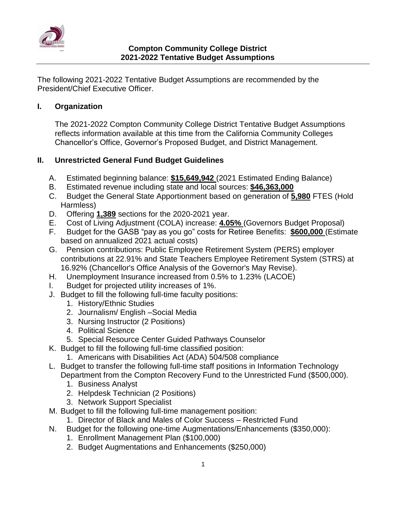

The following 2021-2022 Tentative Budget Assumptions are recommended by the President/Chief Executive Officer.

#### **I. Organization**

The 2021-2022 Compton Community College District Tentative Budget Assumptions reflects information available at this time from the California Community Colleges Chancellor's Office, Governor's Proposed Budget, and District Management.

#### **II. Unrestricted General Fund Budget Guidelines**

- A. Estimated beginning balance: **\$15,649,942** (2021 Estimated Ending Balance)
- B. Estimated revenue including state and local sources: **\$46,363,000**
- C. Budget the General State Apportionment based on generation of **5,980** FTES (Hold Harmless)
- D. Offering **1,389** sections for the 2020-2021 year.
- E. Cost of Living Adjustment (COLA) increase: **4.05%** (Governors Budget Proposal)
- F. Budget for the GASB "pay as you go" costs for Retiree Benefits: **\$600,000** (Estimate based on annualized 2021 actual costs)
- G. Pension contributions: Public Employee Retirement System (PERS) employer contributions at 22.91% and State Teachers Employee Retirement System (STRS) at 16.92% (Chancellor's Office Analysis of the Governor's May Revise).
- H. Unemployment Insurance increased from 0.5% to 1.23% (LACOE)
- I. Budget for projected utility increases of 1%.
- J. Budget to fill the following full-time faculty positions:
	- 1. History/Ethnic Studies
	- 2. Journalism/ English –Social Media
	- 3. Nursing Instructor (2 Positions)
	- 4. Political Science
	- 5. Special Resource Center Guided Pathways Counselor
- K. Budget to fill the following full-time classified position:
	- 1. Americans with Disabilities Act (ADA) 504/508 compliance
- L. Budget to transfer the following full-time staff positions in Information Technology Department from the Compton Recovery Fund to the Unrestricted Fund (\$500,000).
	- 1. Business Analyst
	- 2. Helpdesk Technician (2 Positions)
	- 3. Network Support Specialist
- M. Budget to fill the following full-time management position:
	- 1. Director of Black and Males of Color Success Restricted Fund
- N. Budget for the following one-time Augmentations/Enhancements (\$350,000):
	- 1. Enrollment Management Plan (\$100,000)
	- 2. Budget Augmentations and Enhancements (\$250,000)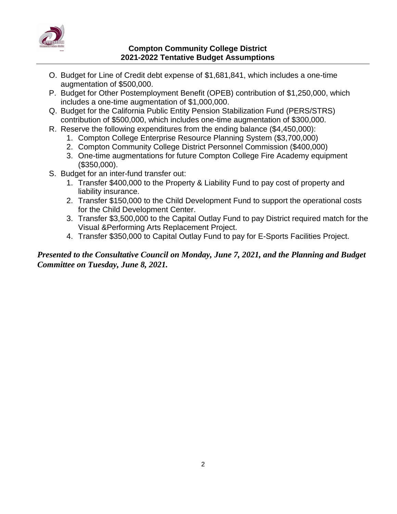

#### **Compton Community College District 2021-2022 Tentative Budget Assumptions**

- O. Budget for Line of Credit debt expense of \$1,681,841, which includes a one-time augmentation of \$500,000.
- P. Budget for Other Postemployment Benefit (OPEB) contribution of \$1,250,000, which includes a one-time augmentation of \$1,000,000.
- Q. Budget for the California Public Entity Pension Stabilization Fund (PERS/STRS) contribution of \$500,000, which includes one-time augmentation of \$300,000.
- R. Reserve the following expenditures from the ending balance (\$4,450,000):
	- 1. Compton College Enterprise Resource Planning System (\$3,700,000)
	- 2. Compton Community College District Personnel Commission (\$400,000)
	- 3. One-time augmentations for future Compton College Fire Academy equipment (\$350,000).
- S. Budget for an inter-fund transfer out:
	- 1. Transfer \$400,000 to the Property & Liability Fund to pay cost of property and liability insurance.
	- 2. Transfer \$150,000 to the Child Development Fund to support the operational costs for the Child Development Center.
	- 3. Transfer \$3,500,000 to the Capital Outlay Fund to pay District required match for the Visual &Performing Arts Replacement Project.
	- 4. Transfer \$350,000 to Capital Outlay Fund to pay for E-Sports Facilities Project.

#### *Presented to the Consultative Council on Monday, June 7, 2021, and the Planning and Budget Committee on Tuesday, June 8, 2021.*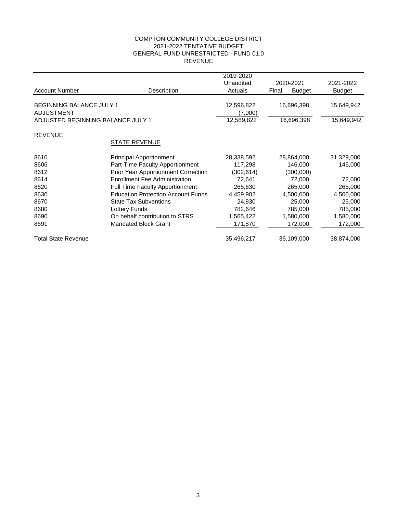#### COMPTON COMMUNITY COLLEGE DISTRICT 2021-2022 TENTATIVE BUDGET GENERAL FUND UNRESTRICTED - FUND 01.0 REVENUE

|                                   |                                            | 2019-2020  |           |               |               |
|-----------------------------------|--------------------------------------------|------------|-----------|---------------|---------------|
|                                   |                                            | Unaudited  | 2020-2021 |               | 2021-2022     |
| <b>Account Number</b>             | Description                                | Actuals    | Final     | <b>Budget</b> | <b>Budget</b> |
|                                   |                                            |            |           |               |               |
| <b>BEGINNING BALANCE JULY 1</b>   |                                            | 12,596,822 |           | 16,696,398    | 15,649,942    |
| <b>ADJUSTMENT</b>                 |                                            | (7,000)    |           |               |               |
| ADJUSTED BEGINNING BALANCE JULY 1 |                                            | 12,589,822 |           | 16,696,398    | 15,649,942    |
| <b>REVENUE</b>                    |                                            |            |           |               |               |
|                                   | <b>STATE REVENUE</b>                       |            |           |               |               |
| 8610                              | <b>Principal Apportionment</b>             | 28,338,592 |           | 28,864,000    | 31,329,000    |
| 8606                              | Part-Time Faculty Apportionment            | 117,298    |           | 146,000       | 146,000       |
| 8612                              | <b>Prior Year Apportionment Correction</b> | (302,614)  |           | (300,000)     |               |
| 8614                              | <b>Enrollment Fee Administration</b>       | 72,641     |           | 72,000        | 72,000        |
| 8620                              | <b>Full Time Faculty Apportionment</b>     | 265,630    |           | 265,000       | 265,000       |
| 8630                              | <b>Education Protection Account Funds</b>  | 4,459,902  |           | 4,500,000     | 4,500,000     |
| 8670                              | <b>State Tax Subventions</b>               | 24,830     |           | 25,000        | 25,000        |
| 8680                              | Lottery Funds                              | 782,646    |           | 785,000       | 785,000       |
| 8690                              | On behalf contribution to STRS             | 1,565,422  |           | 1,580,000     | 1,580,000     |
| 8691                              | <b>Mandated Block Grant</b>                | 171,870    |           | 172,000       | 172,000       |
| <b>Total State Revenue</b>        |                                            | 35,496,217 |           | 36,109,000    | 38,874,000    |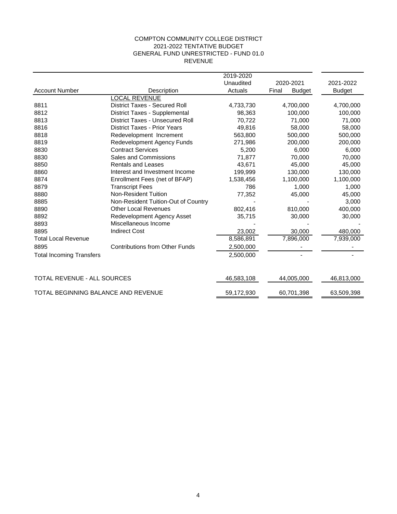#### COMPTON COMMUNITY COLLEGE DISTRICT 2021-2022 TENTATIVE BUDGET GENERAL FUND UNRESTRICTED - FUND 01.0 REVENUE

|                                     |                                        | 2019-2020  |                        |               |
|-------------------------------------|----------------------------------------|------------|------------------------|---------------|
|                                     |                                        | Unaudited  | 2020-2021              | 2021-2022     |
| <b>Account Number</b>               | Description                            | Actuals    | Final<br><b>Budget</b> | <b>Budget</b> |
|                                     | <b>LOCAL REVENUE</b>                   |            |                        |               |
| 8811                                | <b>District Taxes - Secured Roll</b>   | 4,733,730  | 4,700,000              | 4,700,000     |
| 8812                                | <b>District Taxes - Supplemental</b>   | 98,363     | 100,000                | 100,000       |
| 8813                                | <b>District Taxes - Unsecured Roll</b> | 70,722     | 71,000                 | 71,000        |
| 8816                                | <b>District Taxes - Prior Years</b>    | 49,816     | 58,000                 | 58,000        |
| 8818                                | Redevelopment Increment                | 563,800    | 500.000                | 500,000       |
| 8819                                | <b>Redevelopment Agency Funds</b>      | 271,986    | 200,000                | 200,000       |
| 8830                                | <b>Contract Services</b>               | 5,200      | 6,000                  | 6,000         |
| 8830                                | Sales and Commissions                  | 71,877     | 70,000                 | 70,000        |
| 8850                                | <b>Rentals and Leases</b>              | 43,671     | 45,000                 | 45,000        |
| 8860                                | Interest and Investment Income         | 199,999    | 130,000                | 130,000       |
| 8874                                | Enrollment Fees (net of BFAP)          | 1,538,456  | 1,100,000              | 1,100,000     |
| 8879                                | <b>Transcript Fees</b>                 | 786        | 1,000                  | 1,000         |
| 8880                                | <b>Non-Resident Tuition</b>            | 77,352     | 45,000                 | 45,000        |
| 8885                                | Non-Resident Tuition-Out of Country    |            |                        | 3,000         |
| 8890                                | <b>Other Local Revenues</b>            | 802,416    | 810,000                | 400,000       |
| 8892                                | Redevelopment Agency Asset             | 35,715     | 30,000                 | 30,000        |
| 8893                                | Miscellaneous Income                   |            |                        |               |
| 8895                                | <b>Indirect Cost</b>                   | 23,002     | 30,000                 | 480,000       |
| <b>Total Local Revenue</b>          |                                        | 8,586,891  | 7,896,000              | 7,939,000     |
| 8895                                | <b>Contributions from Other Funds</b>  | 2,500,000  |                        |               |
| <b>Total Incoming Transfers</b>     |                                        | 2,500,000  |                        |               |
| TOTAL REVENUE - ALL SOURCES         |                                        | 46,583,108 | 44,005,000             | 46,813,000    |
| TOTAL BEGINNING BALANCE AND REVENUE |                                        | 59,172,930 | 60,701,398             | 63,509,398    |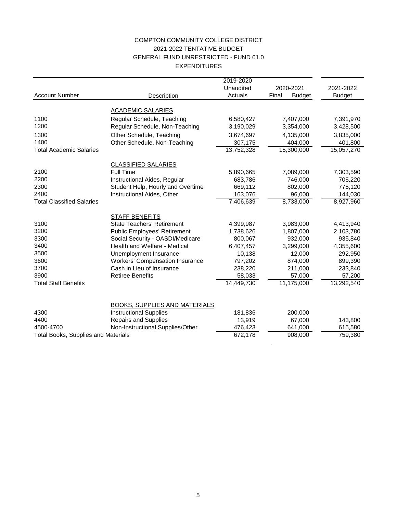#### COMPTON COMMUNITY COLLEGE DISTRICT 2021-2022 TENTATIVE BUDGET GENERAL FUND UNRESTRICTED - FUND 01.0 EXPENDITURES

|                                            |                                                                       | 2019-2020  |                        |               |
|--------------------------------------------|-----------------------------------------------------------------------|------------|------------------------|---------------|
|                                            |                                                                       | Unaudited  | 2020-2021              | 2021-2022     |
| <b>Account Number</b>                      | Description                                                           | Actuals    | Final<br><b>Budget</b> | <b>Budget</b> |
|                                            |                                                                       |            |                        |               |
|                                            | <b>ACADEMIC SALARIES</b>                                              |            |                        |               |
| 1100                                       | Regular Schedule, Teaching                                            | 6,580,427  | 7,407,000              | 7,391,970     |
| 1200                                       | Regular Schedule, Non-Teaching                                        | 3,190,029  | 3,354,000              | 3,428,500     |
| 1300                                       | Other Schedule, Teaching                                              | 3,674,697  | 4,135,000              | 3,835,000     |
| 1400                                       | Other Schedule, Non-Teaching                                          | 307,175    | 404,000                | 401,800       |
| <b>Total Academic Salaries</b>             |                                                                       | 13,752,328 | 15,300,000             | 15,057,270    |
|                                            |                                                                       |            |                        |               |
|                                            | <b>CLASSIFIED SALARIES</b>                                            |            |                        |               |
| 2100                                       | Full Time                                                             | 5,890,665  | 7,089,000              | 7,303,590     |
| 2200                                       | Instructional Aides, Regular                                          | 683,786    | 746,000                | 705,220       |
| 2300                                       | Student Help, Hourly and Overtime                                     | 669,112    | 802,000                | 775,120       |
| 2400                                       | Instructional Aides, Other                                            | 163,076    | 96,000                 | 144,030       |
| <b>Total Classified Salaries</b>           |                                                                       | 7,406,639  | 8,733,000              | 8,927,960     |
|                                            | <b>STAFF BENEFITS</b>                                                 |            |                        |               |
| 3100                                       | <b>State Teachers' Retirement</b>                                     | 4,399,987  | 3,983,000              | 4,413,940     |
| 3200                                       | <b>Public Employees' Retirement</b>                                   | 1,738,626  | 1,807,000              | 2,103,780     |
| 3300                                       | Social Security - OASDI/Medicare                                      | 800,067    | 932,000                | 935,840       |
| 3400                                       | Health and Welfare - Medical                                          | 6,407,457  | 3,299,000              | 4,355,600     |
| 3500                                       | Unemployment Insurance                                                | 10,138     | 12,000                 | 292,950       |
| 3600                                       | <b>Workers' Compensation Insurance</b>                                | 797,202    | 874,000                | 899,390       |
| 3700                                       | Cash in Lieu of Insurance                                             | 238,220    | 211,000                | 233,840       |
| 3900                                       | <b>Retiree Benefits</b>                                               | 58,033     | 57,000                 | 57,200        |
| <b>Total Staff Benefits</b>                |                                                                       | 14,449,730 | 11,175,000             | 13,292,540    |
|                                            |                                                                       |            |                        |               |
|                                            |                                                                       |            |                        |               |
| 4300                                       | <b>BOOKS, SUPPLIES AND MATERIALS</b><br><b>Instructional Supplies</b> | 181,836    | 200,000                |               |
| 4400                                       | <b>Repairs and Supplies</b>                                           | 13,919     |                        |               |
| 4500-4700                                  |                                                                       |            | 67,000                 | 143,800       |
|                                            | Non-Instructional Supplies/Other                                      | 476,423    | 641,000                | 615,580       |
| <b>Total Books, Supplies and Materials</b> |                                                                       | 672,178    | 908,000                | 759,380       |

.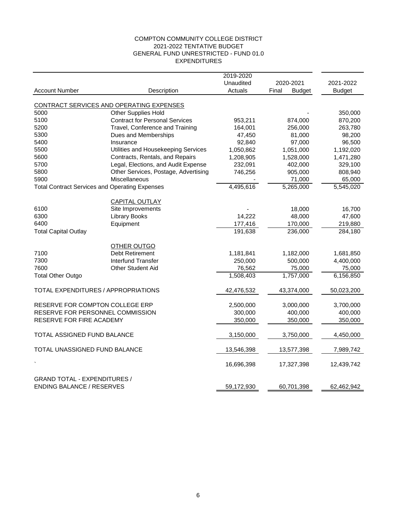#### COMPTON COMMUNITY COLLEGE DISTRICT 2021-2022 TENTATIVE BUDGET GENERAL FUND UNRESTRICTED - FUND 01.0 EXPENDITURES

|                                                       |                                            | 2019-2020  |                        |               |
|-------------------------------------------------------|--------------------------------------------|------------|------------------------|---------------|
|                                                       |                                            | Unaudited  | 2020-2021              | 2021-2022     |
| <b>Account Number</b>                                 | Description                                | Actuals    | Final<br><b>Budget</b> | <b>Budget</b> |
|                                                       |                                            |            |                        |               |
|                                                       | CONTRACT SERVICES AND OPERATING EXPENSES   |            |                        |               |
| 5000                                                  | Other Supplies Hold                        |            |                        | 350,000       |
| 5100                                                  | <b>Contract for Personal Services</b>      | 953,211    | 874,000                | 870,200       |
| 5200                                                  | Travel, Conference and Training            | 164,001    | 256,000                | 263,780       |
| 5300                                                  | Dues and Memberships                       | 47,450     | 81,000                 | 98,200        |
| 5400                                                  | Insurance                                  | 92,840     | 97,000                 | 96,500        |
| 5500                                                  | Utilities and Housekeeping Services        | 1,050,862  | 1,051,000              | 1,192,020     |
| 5600                                                  | Contracts, Rentals, and Repairs            | 1,208,905  | 1,528,000              | 1,471,280     |
| 5700                                                  | Legal, Elections, and Audit Expense        | 232,091    | 402,000                | 329,100       |
| 5800                                                  | Other Services, Postage, Advertising       | 746,256    | 905,000                | 808,940       |
| 5900                                                  | Miscellaneous                              |            | 71,000                 | 65,000        |
| <b>Total Contract Services and Operating Expenses</b> |                                            | 4,495,616  | 5,265,000              | 5,545,020     |
|                                                       |                                            |            |                        |               |
| 6100                                                  | <b>CAPITAL OUTLAY</b><br>Site Improvements |            | 18,000                 | 16,700        |
| 6300                                                  | <b>Library Books</b>                       | 14,222     | 48,000                 | 47,600        |
| 6400                                                  | Equipment                                  | 177,416    | 170,000                | 219,880       |
| <b>Total Capital Outlay</b>                           |                                            | 191,638    | 236,000                | 284,180       |
|                                                       |                                            |            |                        |               |
|                                                       | <b>OTHER OUTGO</b>                         |            |                        |               |
| 7100                                                  | <b>Debt Retirement</b>                     | 1,181,841  | 1,182,000              | 1,681,850     |
| 7300                                                  | Interfund Transfer                         | 250,000    | 500,000                | 4,400,000     |
| 7600                                                  | Other Student Aid                          | 76,562     | 75,000                 | 75,000        |
| <b>Total Other Outgo</b>                              |                                            | 1,508,403  | 1,757,000              | 6,156,850     |
|                                                       |                                            |            |                        |               |
| TOTAL EXPENDITURES / APPROPRIATIONS                   |                                            | 42,476,532 | 43,374,000             | 50,023,200    |
| RESERVE FOR COMPTON COLLEGE ERP                       |                                            | 2,500,000  | 3,000,000              | 3,700,000     |
| RESERVE FOR PERSONNEL COMMISSION                      |                                            | 300,000    | 400,000                | 400,000       |
| RESERVE FOR FIRE ACADEMY                              |                                            | 350,000    | 350,000                | 350,000       |
|                                                       |                                            |            |                        |               |
| TOTAL ASSIGNED FUND BALANCE                           |                                            | 3,150,000  | 3,750,000              | 4,450,000     |
| TOTAL UNASSIGNED FUND BALANCE                         |                                            | 13,546,398 | 13,577,398             | 7,989,742     |
|                                                       |                                            | 16,696,398 | 17,327,398             | 12,439,742    |
|                                                       |                                            |            |                        |               |
| <b>GRAND TOTAL - EXPENDITURES /</b>                   |                                            |            |                        |               |
| <b>ENDING BALANCE / RESERVES</b>                      |                                            | 59,172,930 | 60,701,398             | 62,462,942    |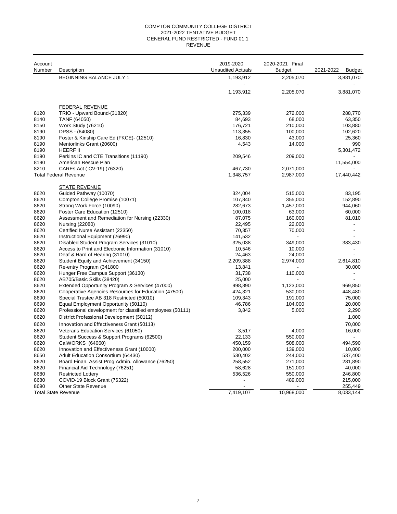#### GENERAL FUND RESTRICTED - FUND 01.1 REVENUE COMPTON COMMUNITY COLLEGE DISTRICT 2021-2022 TENTATIVE BUDGET

| Account |                                                           | 2019-2020                | 2020-2021 Final |                            |
|---------|-----------------------------------------------------------|--------------------------|-----------------|----------------------------|
| Number  | Description                                               | <b>Unaudited Actuals</b> | Budget          | 2021-2022<br><b>Budget</b> |
|         | <b>BEGINNING BALANCE JULY 1</b>                           | 1,193,912                | 2,205,070       | 3,881,070                  |
|         |                                                           | 1,193,912                | 2,205,070       | 3,881,070                  |
|         |                                                           |                          |                 |                            |
| 8120    | <b>FEDERAL REVENUE</b><br>TRIO - Upward Bound-(31820)     | 275,339                  | 272,000         | 288,770                    |
| 8140    | TANF (64050)                                              | 84,693                   | 68,000          | 63,350                     |
| 8150    | Work Study (76210)                                        | 176,721                  | 210,000         | 103,880                    |
| 8190    | DPSS - (64080)                                            | 113,355                  | 100,000         | 102,620                    |
| 8190    | Foster & Kinship Care Ed (FKCE)- (12510)                  | 16,830                   | 43,000          | 25,360                     |
| 8190    | Mentorlinks Grant (20600)                                 | 4,543                    | 14,000          | 990                        |
| 8190    | <b>HEERF II</b>                                           |                          |                 | 5,301,472                  |
| 8190    | Perkins IC and CTE Transitions (11190)                    | 209,546                  | 209,000         |                            |
| 8190    | American Rescue Plan                                      |                          |                 | 11,554,000                 |
| 8210    | CAREs Act ( CV-19) (76320)                                | 467,730                  | 2,071,000       |                            |
|         | <b>Total Federal Revenue</b>                              | 1,348,757                | 2,987,000       | 17,440,442                 |
|         | <b>STATE REVENUE</b>                                      |                          |                 |                            |
| 8620    | Guided Pathway (10070)                                    | 324,004                  | 515,000         | 83,195                     |
| 8620    | Compton College Promise (10071)                           | 107,840                  | 355,000         | 152,890                    |
| 8620    | Strong Work Force (10090)                                 | 282,673                  | 1,457,000       | 944,060                    |
| 8620    | Foster Care Education (12510)                             | 100,018                  | 63,000          | 60,000                     |
| 8620    | Assessment and Remediation for Nursing (22330)            | 87,075                   | 160,000         | 81,010                     |
| 8620    | Nursing (22080)                                           | 22,495                   | 22,000          |                            |
| 8620    | Certified Nurse Assistant (22350)                         | 70,357                   | 70,000          |                            |
| 8620    | Instructional Equipment (26990)                           | 141,532                  |                 |                            |
| 8620    | Disabled Student Program Services (31010)                 | 325,038                  | 349,000         | 383,430                    |
| 8620    | Access to Print and Electronic Information (31010)        | 10,546                   | 10,000          |                            |
| 8620    | Deaf & Hard of Hearing (31010)                            | 24,463                   | 24,000          |                            |
| 8620    | Student Equity and Achievement (34150)                    | 2,209,388                | 2,974,000       | 2,614,810                  |
| 8620    | Re-entry Program (341800                                  | 13,841                   |                 | 30,000                     |
| 8620    | Hunger Free Campus Support (36130)                        | 31,738                   | 110,000         |                            |
| 8620    | AB705/Basic Skills (38420)                                | 25,000                   |                 |                            |
| 8620    | Extended Opportunity Program & Services (47000)           | 998,890                  | 1,123,000       | 969,850                    |
| 8620    | Cooperative Agencies Resources for Education (47500)      | 424,321                  | 530.000         | 448.480                    |
| 8690    | Special Trustee AB 318 Restricted (50010)                 | 109,343                  | 191,000         | 75,000                     |
| 8690    | Equal Employment Opportunity (50110)                      | 46,786                   | 104,000         | 20,000                     |
| 8620    | Professional development for classified employees (50111) | 3,842                    | 5,000           | 2,290                      |
| 8620    | District Professional Development (50112)                 |                          |                 | 1,000                      |
| 8620    | Innovation and Effectiveness Grant (50113)                |                          |                 | 70,000                     |
| 8620    | Veterans Education Services (61050)                       | 3,517                    | 4,000           | 16,000                     |
| 8620    | Student Success & Support Programs (62500)                | 22,133                   | 550,000         |                            |
| 8620    | CalWORKS (64060)                                          | 450,159                  | 508,000         | 494,590                    |
| 8620    | Innovation and Effectiveness Grant (10000)                | 200,000                  | 139,000         | 10,000                     |
| 8650    | Adult Education Consortium (64430)                        | 530,402                  | 244,000         | 537,400                    |
| 8620    | Board Finan. Assist Prog Admin. Allowance (76250)         | 258,552                  | 271,000         | 281,890                    |
| 8620    | Financial Aid Technology (76251)                          | 58,628                   | 151,000         | 40,000                     |
| 8680    | <b>Restricted Lottery</b>                                 | 536,526                  | 550,000         | 246,800                    |
| 8680    | COVID-19 Block Grant (76322)                              |                          | 489,000         | 215,000                    |
| 8690    | <b>Other State Revenue</b>                                |                          |                 | 255,449                    |
|         | <b>Total State Revenue</b>                                | 7,419,107                | 10,968,000      | 8,033,144                  |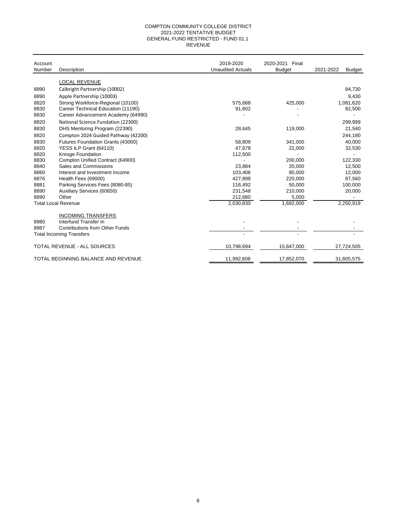#### 2021-2022 TENTATIVE BUDGET GENERAL FUND RESTRICTED - FUND 01.1 REVENUE COMPTON COMMUNITY COLLEGE DISTRICT

| Account<br>Number | Description                           | 2019-2020<br><b>Unaudited Actuals</b> | 2020-2021<br>Final<br><b>Budget</b> | 2021-2022<br><b>Budget</b> |
|-------------------|---------------------------------------|---------------------------------------|-------------------------------------|----------------------------|
|                   | <b>LOCAL REVENUE</b>                  |                                       |                                     |                            |
| 8890              | Calbright Partnership (10002)         |                                       |                                     | 84,730                     |
| 8890              | Apple Partnership (10003)             |                                       |                                     | 9,430                      |
| 8820              | Strong Workforce-Regional (10100)     | 575,688                               | 425,000                             | 1,081,620                  |
| 8830              | Career Technical Education (11190)    | 91,602                                |                                     | 82,500                     |
| 8830              | Career Advancement Academy (64990)    |                                       |                                     |                            |
| 8820              | National Science Fundation (22300)    |                                       |                                     | 299,999                    |
| 8830              | DHS Mentoring Program (22390)         | 28,645                                | 119,000                             | 21,540                     |
| 8820              | Compton 2024 Guided Pathway (42200)   |                                       |                                     | 244,180                    |
| 8830              | Futures Foundation Grants (43000)     | 58,809                                | 341,000                             | 40,000                     |
| 8820              | YESS ILP Grant (64110)                | 47,678                                | 22,000                              | 32,530                     |
| 8820              | Kresge Foundation                     | 112,500                               |                                     |                            |
| 8830              | Compton Unified Contract (64900)      |                                       | 200,000                             | 122,330                    |
| 8840              | Sales and Commissions                 | 23.884                                | 20,000                              | 12,500                     |
| 8860              | Interest and Investment Income        | 103.406                               | 80,000                              | 12,000                     |
| 8876              | Health Fees (69000)                   | 427,898                               | 220,000                             | 87,560                     |
| 8881              | Parking Services Fees (8080-85)       | 116,492                               | 50,000                              | 100,000                    |
| 8890              | Auxiliary Services (60650)            | 231,548                               | 210,000                             | 20,000                     |
| 8890              | Other                                 | 212,680                               | 5,000                               |                            |
|                   | <b>Total Local Revenue</b>            | 2,030,830                             | 1,692,000                           | 2,250,919                  |
|                   | <b>INCOMING TRANSFERS</b>             |                                       |                                     |                            |
| 8980              | Interfund Transfer In                 |                                       |                                     |                            |
| 8987              | <b>Contributions from Other Funds</b> |                                       |                                     |                            |
|                   | <b>Total Incoming Transfers</b>       |                                       |                                     |                            |
|                   | TOTAL REVENUE - ALL SOURCES           | 10,798,694                            | 15,647,000                          | 27,724,505                 |
|                   | TOTAL BEGINNING BALANCE AND REVENUE   | 11,992,606                            | 17,852,070                          | 31,605,575                 |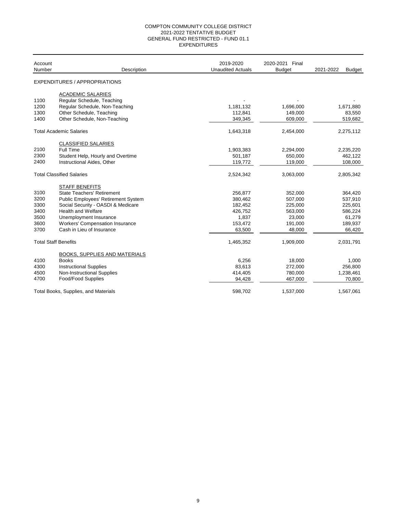#### COMPTON COMMUNITY COLLEGE DISTRICT 2021-2022 TENTATIVE BUDGET GENERAL FUND RESTRICTED - FUND 01.1 EXPENDITURES

| Account<br>Number           | Description                                | 2019-2020<br><b>Unaudited Actuals</b> | 2020-2021 Final<br><b>Budget</b> | 2021-2022<br><b>Budget</b> |
|-----------------------------|--------------------------------------------|---------------------------------------|----------------------------------|----------------------------|
|                             | EXPENDITURES / APPROPRIATIONS              |                                       |                                  |                            |
|                             | <b>ACADEMIC SALARIES</b>                   |                                       |                                  |                            |
| 1100                        | Regular Schedule, Teaching                 |                                       |                                  |                            |
| 1200                        | Regular Schedule, Non-Teaching             | 1,181,132                             | 1,696,000                        | 1,671,880                  |
| 1300                        | Other Schedule, Teaching                   | 112,841                               | 149,000                          | 83,550                     |
| 1400                        | Other Schedule, Non-Teaching               | 349,345                               | 609,000                          | 519,682                    |
|                             | <b>Total Academic Salaries</b>             | 1,643,318                             | 2,454,000                        | 2,275,112                  |
|                             | <b>CLASSIFIED SALARIES</b>                 |                                       |                                  |                            |
| 2100                        | Full Time                                  | 1,903,383                             | 2,294,000                        | 2,235,220                  |
| 2300                        | Student Help, Hourly and Overtime          | 501,187                               | 650,000                          | 462,122                    |
| 2400                        | Instructional Aides, Other                 | 119,772                               | 119,000                          | 108,000                    |
|                             | <b>Total Classified Salaries</b>           | 2,524,342                             | 3,063,000                        | 2,805,342                  |
|                             | <b>STAFF BENEFITS</b>                      |                                       |                                  |                            |
| 3100                        | <b>State Teachers' Retirement</b>          | 256,877                               | 352,000                          | 364,420                    |
| 3200                        | <b>Public Employees' Retirement System</b> | 380,462                               | 507,000                          | 537,910                    |
| 3300                        | Social Security - OASDI & Medicare         | 182,452                               | 225,000                          | 225,601                    |
| 3400                        | <b>Health and Welfare</b>                  | 426,752                               | 563,000                          | 586,224                    |
| 3500                        | Unemployment Insurance                     | 1,837                                 | 23,000                           | 61,279                     |
| 3600                        | <b>Workers' Compensation Insurance</b>     | 153,472                               | 191,000                          | 189,937                    |
| 3700                        | Cash in Lieu of Insurance                  | 63,500                                | 48,000                           | 66,420                     |
| <b>Total Staff Benefits</b> |                                            | 1,465,352                             | 1,909,000                        | 2,031,791                  |
|                             | <b>BOOKS, SUPPLIES AND MATERIALS</b>       |                                       |                                  |                            |
| 4100                        | <b>Books</b>                               | 6,256                                 | 18,000                           | 1,000                      |
| 4300                        | <b>Instructional Supplies</b>              | 83,613                                | 272,000                          | 256,800                    |
| 4500                        | Non-Instructional Supplies                 | 414,405                               | 780,000                          | 1,238,461                  |
| 4700                        | Food/Food Supplies                         | 94,428                                | 467,000                          | 70,800                     |
|                             | Total Books, Supplies, and Materials       | 598.702                               | 1,537,000                        | 1,567,061                  |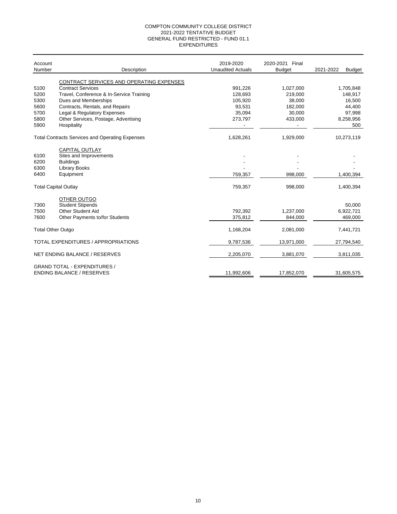#### EXPENDITURES COMPTON COMMUNITY COLLEGE DISTRICT 2021-2022 TENTATIVE BUDGET GENERAL FUND RESTRICTED - FUND 01.1

| Account<br>Number        | Description                                            | 2019-2020<br><b>Unaudited Actuals</b> | 2020-2021 Final<br><b>Budget</b> | 2021-2022<br><b>Budget</b> |
|--------------------------|--------------------------------------------------------|---------------------------------------|----------------------------------|----------------------------|
|                          | CONTRACT SERVICES AND OPERATING EXPENSES               |                                       |                                  |                            |
| 5100                     | <b>Contract Services</b>                               | 991,226                               | 1,027,000                        | 1,705,848                  |
| 5200                     | Travel, Conference & In-Service Training               | 128,693                               | 219,000                          | 148,917                    |
| 5300                     | Dues and Memberships                                   | 105,920                               | 38,000                           | 16,500                     |
| 5600                     | Contracts, Rentals, and Repairs                        | 93,531                                | 182,000                          | 44,400                     |
| 5700                     | Legal & Regulatory Expenses                            | 35,094                                | 30,000                           | 97,998                     |
| 5800                     | Other Services, Postage, Advertising                   | 273,797                               | 433,000                          | 8,258,956                  |
| 5900                     | Hospitality                                            |                                       |                                  | 500                        |
|                          | <b>Total Contracts Services and Operating Expenses</b> | 1,628,261                             | 1,929,000                        | 10,273,119                 |
|                          | <b>CAPITAL OUTLAY</b>                                  |                                       |                                  |                            |
| 6100                     | Sites and Improvements                                 |                                       |                                  |                            |
| 6200                     | <b>Buildings</b>                                       |                                       |                                  |                            |
| 6300                     | <b>Library Books</b>                                   |                                       |                                  |                            |
| 6400                     | Equipment                                              | 759,357                               | 998,000                          | 1,400,394                  |
|                          | <b>Total Capital Outlay</b>                            | 759,357                               | 998,000                          | 1,400,394                  |
|                          |                                                        |                                       |                                  |                            |
|                          | OTHER OUTGO                                            |                                       |                                  |                            |
| 7300                     | <b>Student Stipends</b>                                |                                       |                                  | 50,000                     |
| 7500                     | <b>Other Student Aid</b>                               | 792,392                               | 1,237,000                        | 6,922,721                  |
| 7600                     | Other Payments to/for Students                         | 375,812                               | 844,000                          | 469,000                    |
| <b>Total Other Outgo</b> |                                                        | 1,168,204                             | 2,081,000                        | 7,441,721                  |
|                          | TOTAL EXPENDITURES / APPROPRIATIONS                    | 9,787,536                             | 13,971,000                       | 27,794,540                 |
|                          | NET ENDING BALANCE / RESERVES                          | 2,205,070                             | 3,881,070                        | 3,811,035                  |
|                          | <b>GRAND TOTAL - EXPENDITURES /</b>                    |                                       |                                  |                            |
|                          | <b>ENDING BALANCE / RESERVES</b>                       | 11,992,606                            | 17,852,070                       | 31,605,575                 |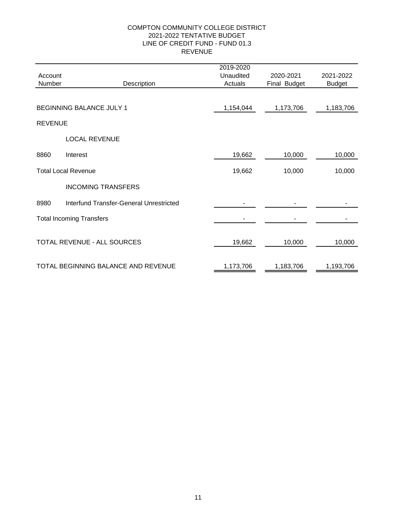#### COMPTON COMMUNITY COLLEGE DISTRICT REVENUE LINE OF CREDIT FUND - FUND 01.3 2021-2022 TENTATIVE BUDGET

|                |                                         | 2019-2020 |              |               |
|----------------|-----------------------------------------|-----------|--------------|---------------|
| Account        |                                         | Unaudited | 2020-2021    | 2021-2022     |
| Number         | Description                             | Actuals   | Final Budget | <b>Budget</b> |
|                |                                         |           |              |               |
|                | <b>BEGINNING BALANCE JULY 1</b>         | 1,154,044 | 1,173,706    | 1,183,706     |
| <b>REVENUE</b> |                                         |           |              |               |
|                | <b>LOCAL REVENUE</b>                    |           |              |               |
| 8860           | Interest                                | 19,662    | 10,000       | 10,000        |
|                | <b>Total Local Revenue</b>              | 19,662    | 10,000       | 10,000        |
|                | <b>INCOMING TRANSFERS</b>               |           |              |               |
| 8980           | Interfund Transfer-General Unrestricted |           |              |               |
|                | <b>Total Incoming Transfers</b>         |           |              |               |
|                | TOTAL REVENUE - ALL SOURCES             | 19,662    | 10,000       | 10,000        |
|                | TOTAL BEGINNING BALANCE AND REVENUE     | 1,173,706 | 1,183,706    | 1,193,706     |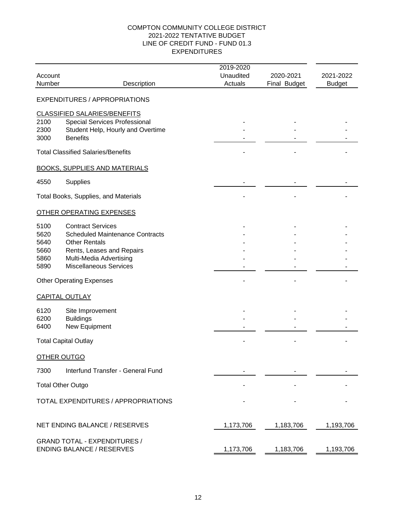#### COMPTON COMMUNITY COLLEGE DISTRICT EXPENDITURES LINE OF CREDIT FUND - FUND 01.3 2021-2022 TENTATIVE BUDGET

|             |                                           | 2019-2020 |              |               |
|-------------|-------------------------------------------|-----------|--------------|---------------|
| Account     |                                           | Unaudited | 2020-2021    | 2021-2022     |
| Number      | Description                               | Actuals   | Final Budget | <b>Budget</b> |
|             | <b>EXPENDITURES / APPROPRIATIONS</b>      |           |              |               |
|             | <b>CLASSIFIED SALARIES/BENEFITS</b>       |           |              |               |
| 2100        | Special Services Professional             |           |              |               |
| 2300        | Student Help, Hourly and Overtime         |           |              |               |
| 3000        | <b>Benefits</b>                           |           |              |               |
|             | <b>Total Classified Salaries/Benefits</b> |           |              |               |
|             | <b>BOOKS, SUPPLIES AND MATERIALS</b>      |           |              |               |
| 4550        | Supplies                                  |           |              |               |
|             | Total Books, Supplies, and Materials      |           |              |               |
|             | <b>OTHER OPERATING EXPENSES</b>           |           |              |               |
| 5100        | <b>Contract Services</b>                  |           |              |               |
| 5620        | <b>Scheduled Maintenance Contracts</b>    |           |              |               |
| 5640        | <b>Other Rentals</b>                      |           |              |               |
| 5660        | Rents, Leases and Repairs                 |           |              |               |
| 5860        | Multi-Media Advertising                   |           |              |               |
| 5890        | <b>Miscellaneous Services</b>             |           |              |               |
|             | <b>Other Operating Expenses</b>           |           |              |               |
|             | <b>CAPITAL OUTLAY</b>                     |           |              |               |
| 6120        | Site Improvement                          |           |              |               |
| 6200        | <b>Buildings</b>                          |           |              |               |
| 6400        | New Equipment                             |           |              |               |
|             | <b>Total Capital Outlay</b>               |           |              |               |
| OTHER OUTGO |                                           |           |              |               |
| 7300        | Interfund Transfer - General Fund         |           |              |               |
|             | <b>Total Other Outgo</b>                  |           |              |               |
|             | TOTAL EXPENDITURES / APPROPRIATIONS       |           |              |               |
|             | NET ENDING BALANCE / RESERVES             | 1,173,706 | 1,183,706    | 1,193,706     |
|             | <b>GRAND TOTAL - EXPENDITURES /</b>       |           |              |               |
|             | <b>ENDING BALANCE / RESERVES</b>          | 1,173,706 | 1,183,706    | 1,193,706     |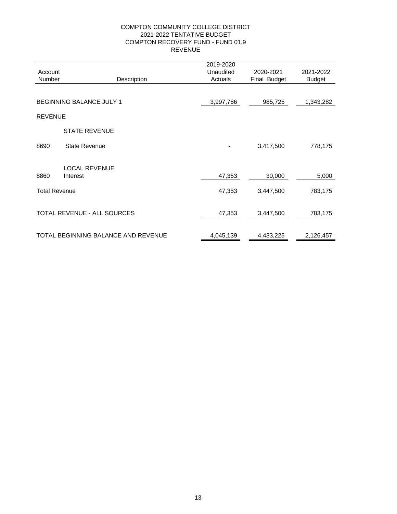#### COMPTON COMMUNITY COLLEGE DISTRICT REVENUE COMPTON RECOVERY FUND - FUND 01.9 2021-2022 TENTATIVE BUDGET

| Account              |                                     | 2019-2020<br>Unaudited | 2020-2021    | 2021-2022     |
|----------------------|-------------------------------------|------------------------|--------------|---------------|
| Number               | Description                         | Actuals                | Final Budget | <b>Budget</b> |
|                      |                                     |                        |              |               |
|                      | BEGINNING BALANCE JULY 1            | 3,997,786              | 985,725      | 1,343,282     |
| <b>REVENUE</b>       |                                     |                        |              |               |
|                      | <b>STATE REVENUE</b>                |                        |              |               |
| 8690                 | <b>State Revenue</b>                |                        | 3,417,500    | 778,175       |
|                      | <b>LOCAL REVENUE</b>                |                        |              |               |
| 8860                 | Interest                            | 47,353                 | 30,000       | 5,000         |
| <b>Total Revenue</b> |                                     | 47,353                 | 3,447,500    | 783,175       |
|                      | TOTAL REVENUE - ALL SOURCES         | 47,353                 | 3,447,500    | 783,175       |
|                      |                                     |                        |              |               |
|                      | TOTAL BEGINNING BALANCE AND REVENUE | 4,045,139              | 4,433,225    | 2,126,457     |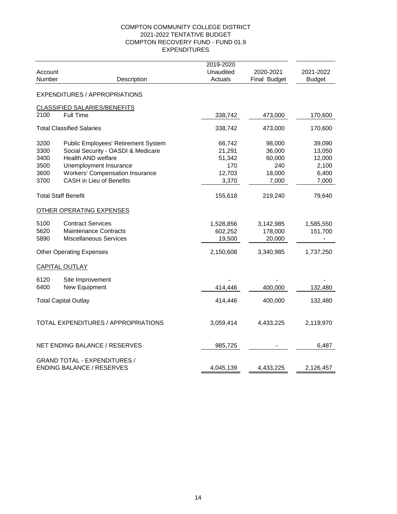#### COMPTON COMMUNITY COLLEGE DISTRICT EXPENDITURES COMPTON RECOVERY FUND - FUND 01.9 2021-2022 TENTATIVE BUDGET

|              |                                                                           | 2019-2020        |                  |                  |
|--------------|---------------------------------------------------------------------------|------------------|------------------|------------------|
| Account      |                                                                           | Unaudited        | 2020-2021        | 2021-2022        |
| Number       | Description                                                               | Actuals          | Final Budget     | <b>Budget</b>    |
|              | <b>EXPENDITURES / APPROPRIATIONS</b>                                      |                  |                  |                  |
|              | CLASSIFIED SALARIES/BENEFITS                                              |                  |                  |                  |
| 2100         | <b>Full Time</b>                                                          | 338,742          | 473,000          | 170,600          |
|              | <b>Total Classified Salaries</b>                                          | 338,742          | 473,000          | 170,600          |
|              |                                                                           |                  |                  |                  |
| 3200<br>3300 | Public Employees' Retirement System<br>Social Security - OASDI & Medicare | 66,742<br>21,291 | 98,000<br>36,000 | 39,090<br>13,050 |
| 3400         | Health AND welfare                                                        | 51,342           | 60,000           | 12,000           |
| 3500         | Unemployment Insurance                                                    | 170              | 240              | 2,100            |
| 3600         | <b>Workers' Compensation Insurance</b>                                    | 12,703           | 18,000           | 6,400            |
| 3700         | <b>CASH</b> in Lieu of Benefits                                           | 3,370            | 7,000            | 7,000            |
|              | <b>Total Staff Benefit</b>                                                | 155,618          | 219,240          | 79,640           |
|              |                                                                           |                  |                  |                  |
|              | OTHER OPERATING EXPENSES                                                  |                  |                  |                  |
| 5100         | <b>Contract Services</b>                                                  | 1,528,856        | 3,142,985        | 1,585,550        |
| 5620         | <b>Maintenance Contracts</b>                                              | 602,252          | 178,000          | 151,700          |
| 5890         | <b>Miscellaneous Services</b>                                             | 19,500           | 20,000           |                  |
|              | <b>Other Operating Expenses</b>                                           | 2,150,608        | 3,340,985        | 1,737,250        |
|              | <b>CAPITAL OUTLAY</b>                                                     |                  |                  |                  |
| 6120         | Site Improvement                                                          |                  |                  |                  |
| 6400         | New Equipment                                                             | 414,446          | 400,000          | 132,480          |
|              | <b>Total Capital Outlay</b>                                               | 414,446          | 400,000          | 132,480          |
|              | <b>TOTAL EXPENDITURES / APPROPRIATIONS</b>                                | 3,059,414        | 4,433,225        | 2,119,970        |
|              | NET ENDING BALANCE / RESERVES                                             | 985,725          |                  | 6,487            |
|              | <b>GRAND TOTAL - EXPENDITURES /</b><br><b>ENDING BALANCE / RESERVES</b>   | 4,045,139        | 4,433,225        | 2,126,457        |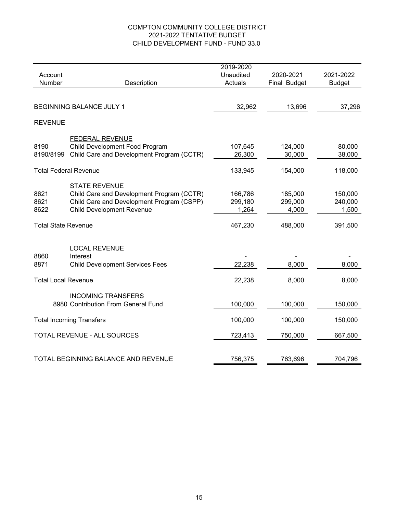#### COMPTON COMMUNITY COLLEGE DISTRICT 2021-2022 TENTATIVE BUDGET CHILD DEVELOPMENT FUND - FUND 33.0

|                              |                                           | 2019-2020 |              |               |
|------------------------------|-------------------------------------------|-----------|--------------|---------------|
| Account                      |                                           | Unaudited | 2020-2021    | 2021-2022     |
| Number                       | Description                               | Actuals   | Final Budget | <b>Budget</b> |
|                              |                                           |           |              |               |
|                              | BEGINNING BALANCE JULY 1                  | 32,962    | 13,696       | 37,296        |
| <b>REVENUE</b>               |                                           |           |              |               |
|                              | <b>FEDERAL REVENUE</b>                    |           |              |               |
| 8190                         | Child Development Food Program            | 107,645   | 124,000      | 80,000        |
| 8190/8199                    | Child Care and Development Program (CCTR) | 26,300    | 30,000       | 38,000        |
| <b>Total Federal Revenue</b> |                                           | 133,945   | 154,000      | 118,000       |
|                              | <b>STATE REVENUE</b>                      |           |              |               |
| 8621                         | Child Care and Development Program (CCTR) | 166,786   | 185,000      | 150,000       |
| 8621                         | Child Care and Development Program (CSPP) | 299,180   | 299,000      | 240,000       |
| 8622                         | <b>Child Development Revenue</b>          | 1,264     | 4,000        | 1,500         |
| <b>Total State Revenue</b>   |                                           | 467,230   | 488,000      | 391,500       |
|                              |                                           |           |              |               |
|                              | <b>LOCAL REVENUE</b>                      |           |              |               |
| 8860                         | Interest                                  |           |              |               |
| 8871                         | <b>Child Development Services Fees</b>    | 22,238    | 8,000        | 8,000         |
| <b>Total Local Revenue</b>   |                                           | 22,238    | 8,000        | 8,000         |
|                              | <b>INCOMING TRANSFERS</b>                 |           |              |               |
|                              | 8980 Contribution From General Fund       | 100,000   | 100,000      | 150,000       |
|                              | <b>Total Incoming Transfers</b>           | 100,000   | 100,000      | 150,000       |
| TOTAL REVENUE - ALL SOURCES  |                                           | 723,413   | 750,000      | 667,500       |
|                              |                                           |           |              |               |
|                              | TOTAL BEGINNING BALANCE AND REVENUE       | 756,375   | 763,696      | 704,796       |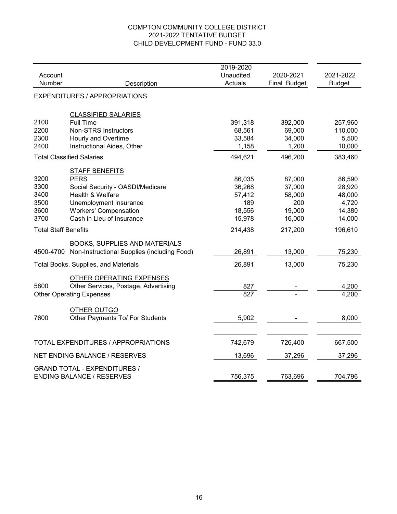#### COMPTON COMMUNITY COLLEGE DISTRICT 2021-2022 TENTATIVE BUDGET CHILD DEVELOPMENT FUND - FUND 33.0

|                             |                                                                         | 2019-2020        |              |               |
|-----------------------------|-------------------------------------------------------------------------|------------------|--------------|---------------|
| Account                     |                                                                         | Unaudited        | 2020-2021    | 2021-2022     |
| Number                      | Description                                                             | Actuals          | Final Budget | <b>Budget</b> |
|                             | <b>EXPENDITURES / APPROPRIATIONS</b>                                    |                  |              |               |
|                             | <b>CLASSIFIED SALARIES</b>                                              |                  |              |               |
| 2100                        | <b>Full Time</b>                                                        | 391,318          | 392,000      | 257,960       |
| 2200                        | <b>Non-STRS Instructors</b>                                             | 68,561           | 69,000       | 110,000       |
| 2300                        | Hourly and Overtime                                                     | 33,584           | 34,000       | 5,500         |
| 2400                        | Instructional Aides, Other                                              | 1,158            | 1,200        | 10,000        |
|                             | <b>Total Classified Salaries</b>                                        | 494,621          | 496,200      | 383,460       |
|                             | <b>STAFF BENEFITS</b>                                                   |                  |              |               |
| 3200                        | <b>PERS</b>                                                             | 86,035           | 87,000       | 86,590        |
| 3300                        | Social Security - OASDI/Medicare                                        | 36,268           | 37,000       | 28,920        |
| 3400                        | Health & Welfare                                                        | 57,412           | 58,000       | 48,000        |
| 3500                        | Unemployment Insurance                                                  | 189              | 200          | 4,720         |
| 3600                        | <b>Workers' Compensation</b>                                            | 18,556           | 19,000       | 14,380        |
| 3700                        | Cash in Lieu of Insurance                                               | 15,978           | 16,000       | 14,000        |
| <b>Total Staff Benefits</b> | 214,438<br>217,200                                                      |                  | 196,610      |               |
|                             | BOOKS, SUPPLIES AND MATERIALS                                           |                  |              |               |
| 4500-4700                   | Non-Instructional Supplies (including Food)                             | 26,891           | 13,000       | 75,230        |
|                             | Total Books, Supplies, and Materials                                    | 26,891           | 13,000       | 75,230        |
|                             | OTHER OPERATING EXPENSES                                                |                  |              |               |
| 5800                        | Other Services, Postage, Advertising                                    | 827              |              | 4,200         |
|                             | <b>Other Operating Expenses</b>                                         | $\overline{827}$ |              | 4,200         |
|                             | OTHER OUTGO                                                             |                  |              |               |
| 7600                        | Other Payments To/ For Students                                         | 5,902            |              | 8,000         |
|                             |                                                                         |                  |              |               |
|                             | TOTAL EXPENDITURES / APPROPRIATIONS                                     | 742,679          | 726,400      | 667,500       |
|                             | NET ENDING BALANCE / RESERVES                                           | 13,696           | 37,296       | 37,296        |
|                             | <b>GRAND TOTAL - EXPENDITURES /</b><br><b>ENDING BALANCE / RESERVES</b> | 756,375          | 763,696      | 704,796       |
|                             |                                                                         |                  |              |               |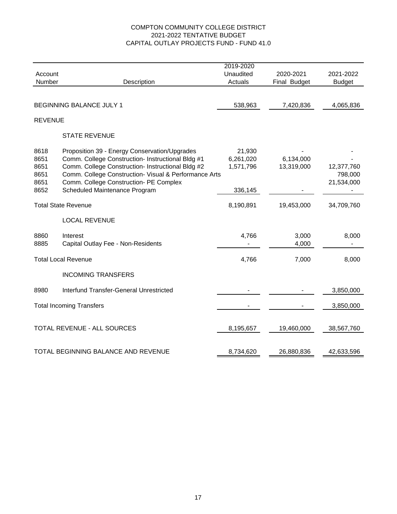#### COMPTON COMMUNITY COLLEGE DISTRICT 2021-2022 TENTATIVE BUDGET CAPITAL OUTLAY PROJECTS FUND - FUND 41.0

|                |                                                       | 2019-2020 |              |               |
|----------------|-------------------------------------------------------|-----------|--------------|---------------|
| Account        |                                                       | Unaudited | 2020-2021    | 2021-2022     |
| Number         | Description                                           | Actuals   | Final Budget | <b>Budget</b> |
|                |                                                       |           |              |               |
|                | BEGINNING BALANCE JULY 1                              | 538,963   | 7,420,836    | 4,065,836     |
| <b>REVENUE</b> |                                                       |           |              |               |
|                | <b>STATE REVENUE</b>                                  |           |              |               |
| 8618           | Proposition 39 - Energy Conservation/Upgrades         | 21,930    |              |               |
| 8651           | Comm. College Construction- Instructional Bldg #1     | 6,261,020 | 6,134,000    |               |
| 8651           | Comm. College Construction- Instructional Bldg #2     | 1,571,796 | 13,319,000   | 12,377,760    |
| 8651           | Comm. College Construction- Visual & Performance Arts |           |              | 798,000       |
| 8651           | Comm. College Construction- PE Complex                |           |              | 21,534,000    |
| 8652           | Scheduled Maintenance Program                         | 336,145   |              |               |
|                | <b>Total State Revenue</b>                            | 8,190,891 | 19,453,000   | 34,709,760    |
|                | <b>LOCAL REVENUE</b>                                  |           |              |               |
| 8860           | Interest                                              | 4,766     | 3,000        | 8,000         |
| 8885           | Capital Outlay Fee - Non-Residents                    |           | 4,000        |               |
|                | <b>Total Local Revenue</b>                            | 4,766     | 7,000        | 8,000         |
|                | <b>INCOMING TRANSFERS</b>                             |           |              |               |
| 8980           | <b>Interfund Transfer-General Unrestricted</b>        |           |              | 3,850,000     |
|                | <b>Total Incoming Transfers</b>                       |           |              | 3,850,000     |
|                |                                                       |           |              |               |
|                | TOTAL REVENUE - ALL SOURCES                           | 8,195,657 | 19,460,000   | 38,567,760    |
|                |                                                       |           |              |               |
|                | TOTAL BEGINNING BALANCE AND REVENUE                   | 8,734,620 | 26,880,836   | 42,633,596    |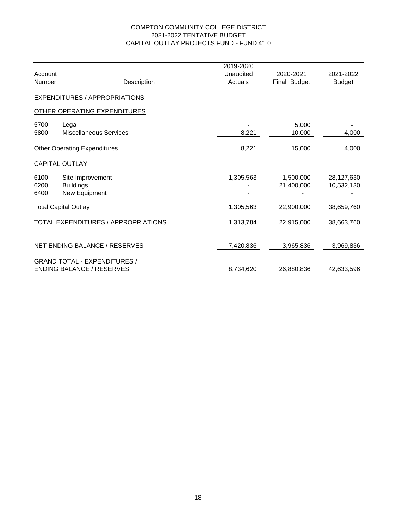#### 2021-2022 TENTATIVE BUDGET CAPITAL OUTLAY PROJECTS FUND - FUND 41.0 COMPTON COMMUNITY COLLEGE DISTRICT

|         |                                            | 2019-2020 |              |               |
|---------|--------------------------------------------|-----------|--------------|---------------|
| Account |                                            | Unaudited | 2020-2021    | 2021-2022     |
| Number  | Description                                | Actuals   | Final Budget | <b>Budget</b> |
|         | <b>EXPENDITURES / APPROPRIATIONS</b>       |           |              |               |
|         | <b>OTHER OPERATING EXPENDITURES</b>        |           |              |               |
| 5700    | Legal                                      |           | 5,000        |               |
| 5800    | <b>Miscellaneous Services</b>              | 8,221     | 10,000       | 4,000         |
|         | <b>Other Operating Expenditures</b>        | 8,221     | 15,000       | 4,000         |
|         | <b>CAPITAL OUTLAY</b>                      |           |              |               |
| 6100    | Site Improvement                           | 1,305,563 | 1,500,000    | 28,127,630    |
| 6200    | <b>Buildings</b>                           |           | 21,400,000   | 10,532,130    |
| 6400    | New Equipment                              |           |              |               |
|         | <b>Total Capital Outlay</b>                | 1,305,563 | 22,900,000   | 38,659,760    |
|         | <b>TOTAL EXPENDITURES / APPROPRIATIONS</b> | 1,313,784 | 22,915,000   | 38,663,760    |
|         | NET ENDING BALANCE / RESERVES              | 7,420,836 | 3,965,836    | 3,969,836     |
|         | <b>GRAND TOTAL - EXPENDITURES /</b>        |           |              |               |
|         | <b>ENDING BALANCE / RESERVES</b>           | 8,734,620 | 26,880,836   | 42,633,596    |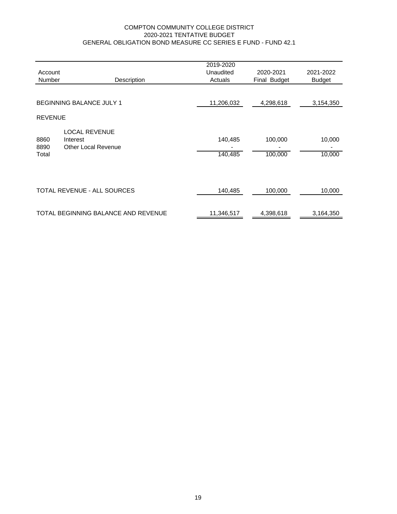#### COMPTON COMMUNITY COLLEGE DISTRICT 2020-2021 TENTATIVE BUDGET GENERAL OBLIGATION BOND MEASURE CC SERIES E FUND - FUND 42.1

|                       |                                                                | 2019-2020            |                           |                  |
|-----------------------|----------------------------------------------------------------|----------------------|---------------------------|------------------|
| Account<br>Number     | Description                                                    | Unaudited<br>Actuals | 2020-2021<br>Final Budget | 2021-2022        |
|                       |                                                                |                      |                           | <b>Budget</b>    |
|                       | <b>BEGINNING BALANCE JULY 1</b>                                | 11,206,032           | 4,298,618                 | 3,154,350        |
| <b>REVENUE</b>        |                                                                |                      |                           |                  |
| 8860<br>8890<br>Total | <b>LOCAL REVENUE</b><br>Interest<br><b>Other Local Revenue</b> | 140,485<br>140,485   | 100,000<br>100,000        | 10,000<br>10,000 |
|                       | TOTAL REVENUE - ALL SOURCES                                    | 140,485              | 100,000                   | 10,000           |
|                       | TOTAL BEGINNING BALANCE AND REVENUE                            | 11,346,517           | 4,398,618                 | 3,164,350        |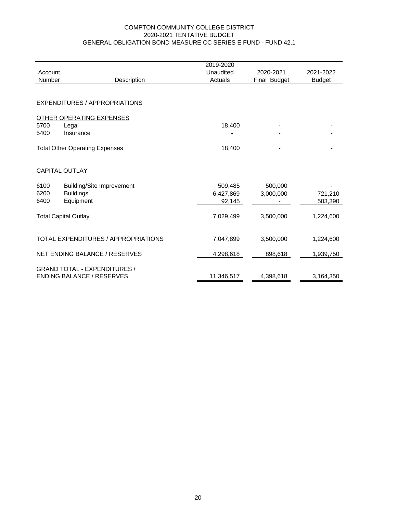#### GENERAL OBLIGATION BOND MEASURE CC SERIES E FUND - FUND 42.1 COMPTON COMMUNITY COLLEGE DISTRICT 2020-2021 TENTATIVE BUDGET

| Account |                                       | 2019-2020<br>Unaudited | 2020-2021    | 2021-2022     |
|---------|---------------------------------------|------------------------|--------------|---------------|
| Number  | Description                           | Actuals                | Final Budget |               |
|         |                                       |                        |              | <b>Budget</b> |
|         | <b>EXPENDITURES / APPROPRIATIONS</b>  |                        |              |               |
|         | <b>OTHER OPERATING EXPENSES</b>       |                        |              |               |
| 5700    | Legal                                 | 18,400                 |              |               |
| 5400    | Insurance                             |                        |              |               |
|         | <b>Total Other Operating Expenses</b> | 18,400                 |              |               |
|         | <b>CAPITAL OUTLAY</b>                 |                        |              |               |
| 6100    | <b>Building/Site Improvement</b>      | 509,485                | 500,000      |               |
| 6200    | <b>Buildings</b>                      | 6,427,869              | 3,000,000    | 721,210       |
| 6400    | Equipment                             | 92,145                 |              | 503,390       |
|         | <b>Total Capital Outlay</b>           | 7,029,499              | 3,500,000    | 1,224,600     |
|         | TOTAL EXPENDITURES / APPROPRIATIONS   | 7,047,899              | 3,500,000    | 1,224,600     |
|         | NET ENDING BALANCE / RESERVES         | 4,298,618              | 898,618      | 1,939,750     |
|         | <b>GRAND TOTAL - EXPENDITURES /</b>   |                        |              |               |
|         | <b>ENDING BALANCE / RESERVES</b>      | 11,346,517             | 4,398,618    | 3,164,350     |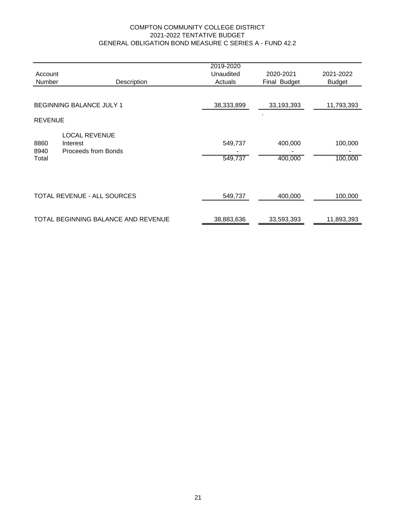#### COMPTON COMMUNITY COLLEGE DISTRICT 2021-2022 TENTATIVE BUDGET GENERAL OBLIGATION BOND MEASURE C SERIES A - FUND 42.2

|                       |                                                         | 2019-2020          |                    |                    |
|-----------------------|---------------------------------------------------------|--------------------|--------------------|--------------------|
| Account               |                                                         | Unaudited          | 2020-2021          | 2021-2022          |
| <b>Number</b>         | Description                                             | Actuals            | Final Budget       | <b>Budget</b>      |
|                       | <b>BEGINNING BALANCE JULY 1</b>                         | 38,333,899         | 33,193,393         | 11,793,393         |
|                       |                                                         |                    |                    |                    |
| <b>REVENUE</b>        |                                                         |                    |                    |                    |
| 8860<br>8940<br>Total | <b>LOCAL REVENUE</b><br>Interest<br>Proceeds from Bonds | 549,737<br>549,737 | 400,000<br>400,000 | 100,000<br>100,000 |
|                       | <b>TOTAL REVENUE - ALL SOURCES</b>                      | 549,737            | 400,000            | 100,000            |
|                       | TOTAL BEGINNING BALANCE AND REVENUE                     | 38,883,636         | 33,593,393         | 11,893,393         |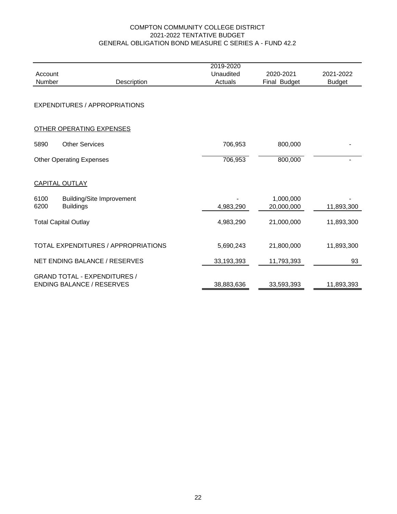#### GENERAL OBLIGATION BOND MEASURE C SERIES A - FUND 42.2 COMPTON COMMUNITY COLLEGE DISTRICT 2021-2022 TENTATIVE BUDGET

| Account<br>Number | Description                                                             | 2019-2020<br>Unaudited<br>Actuals | 2020-2021<br>Final Budget | 2021-2022<br><b>Budget</b> |
|-------------------|-------------------------------------------------------------------------|-----------------------------------|---------------------------|----------------------------|
|                   | EXPENDITURES / APPROPRIATIONS                                           |                                   |                           |                            |
|                   | <b>OTHER OPERATING EXPENSES</b>                                         |                                   |                           |                            |
| 5890              | <b>Other Services</b>                                                   | 706,953                           | 800,000                   |                            |
|                   | <b>Other Operating Expenses</b>                                         | 706,953                           | 800,000                   |                            |
|                   | <b>CAPITAL OUTLAY</b>                                                   |                                   |                           |                            |
| 6100<br>6200      | <b>Building/Site Improvement</b><br><b>Buildings</b>                    | 4,983,290                         | 1,000,000<br>20,000,000   | 11,893,300                 |
|                   | <b>Total Capital Outlay</b>                                             | 4,983,290                         | 21,000,000                | 11,893,300                 |
|                   | TOTAL EXPENDITURES / APPROPRIATIONS                                     | 5,690,243                         | 21,800,000                | 11,893,300                 |
|                   | <b>NET ENDING BALANCE / RESERVES</b>                                    | 33,193,393                        | 11,793,393                | 93                         |
|                   | <b>GRAND TOTAL - EXPENDITURES /</b><br><b>ENDING BALANCE / RESERVES</b> | 38,883,636                        | 33,593,393                | 11,893,393                 |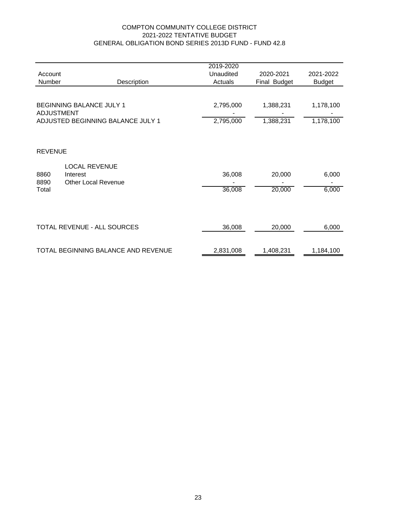#### COMPTON COMMUNITY COLLEGE DISTRICT 2021-2022 TENTATIVE BUDGET GENERAL OBLIGATION BOND SERIES 2013D FUND - FUND 42.8

|                   |                                                                | 2019-2020 |              |               |
|-------------------|----------------------------------------------------------------|-----------|--------------|---------------|
| Account           |                                                                | Unaudited | 2020-2021    | 2021-2022     |
| Number            | Description                                                    | Actuals   | Final Budget | <b>Budget</b> |
| <b>ADJUSTMENT</b> | BEGINNING BALANCE JULY 1                                       | 2,795,000 | 1,388,231    | 1,178,100     |
|                   | ADJUSTED BEGINNING BALANCE JULY 1                              | 2,795,000 | 1,388,231    | 1,178,100     |
|                   |                                                                |           |              |               |
| <b>REVENUE</b>    |                                                                |           |              |               |
| 8860<br>8890      | <b>LOCAL REVENUE</b><br>Interest<br><b>Other Local Revenue</b> | 36,008    | 20,000       | 6,000         |
| Total             |                                                                | 36,008    | 20,000       | 6,000         |
|                   | TOTAL REVENUE - ALL SOURCES                                    | 36,008    | 20,000       | 6,000         |
|                   |                                                                |           |              |               |
|                   | TOTAL BEGINNING BALANCE AND REVENUE                            | 2,831,008 | 1,408,231    | 1,184,100     |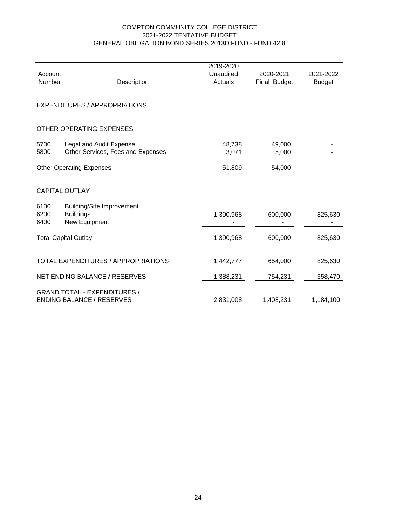#### GENERAL OBLIGATION BOND SERIES 2013D FUND - FUND 42.8 COMPTON COMMUNITY COLLEGE DISTRICT 2021-2022 TENTATIVE BUDGET

|         |                                                                         | 2019-2020 |              |               |
|---------|-------------------------------------------------------------------------|-----------|--------------|---------------|
| Account |                                                                         | Unaudited | 2020-2021    | 2021-2022     |
| Number  | Description                                                             | Actuals   | Final Budget | <b>Budget</b> |
|         | <b>EXPENDITURES / APPROPRIATIONS</b>                                    |           |              |               |
|         | OTHER OPERATING EXPENSES                                                |           |              |               |
| 5700    | Legal and Audit Expense                                                 | 48,738    | 49,000       |               |
| 5800    | Other Services, Fees and Expenses                                       |           |              |               |
|         |                                                                         | 3,071     | 5,000        |               |
|         | <b>Other Operating Expenses</b>                                         | 51,809    | 54,000       |               |
|         | <b>CAPITAL OUTLAY</b>                                                   |           |              |               |
| 6100    | <b>Building/Site Improvement</b>                                        |           |              |               |
| 6200    | <b>Buildings</b>                                                        | 1,390,968 | 600,000      | 825,630       |
| 6400    | New Equipment                                                           |           |              |               |
|         |                                                                         |           |              |               |
|         | <b>Total Capital Outlay</b>                                             | 1,390,968 | 600,000      | 825,630       |
|         | TOTAL EXPENDITURES / APPROPRIATIONS                                     | 1,442,777 | 654,000      | 825,630       |
|         | NET ENDING BALANCE / RESERVES                                           | 1,388,231 | 754,231      | 358,470       |
|         | <b>GRAND TOTAL - EXPENDITURES /</b><br><b>ENDING BALANCE / RESERVES</b> | 2,831,008 | 1,408,231    | 1,184,100     |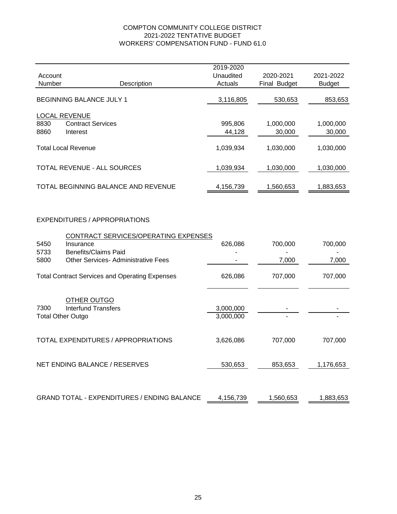#### COMPTON COMMUNITY COLLEGE DISTRICT WORKERS' COMPENSATION FUND - FUND 61.0 2021-2022 TENTATIVE BUDGET

|                                                  |                                     | 2019-2020            |                           |                            |
|--------------------------------------------------|-------------------------------------|----------------------|---------------------------|----------------------------|
| Account<br>Number                                | Description                         | Unaudited<br>Actuals | 2020-2021<br>Final Budget | 2021-2022<br><b>Budget</b> |
| BEGINNING BALANCE JULY 1                         |                                     | 3,116,805            | 530,653                   | 853,653                    |
| <b>LOCAL REVENUE</b><br>8830<br>8860<br>Interest | <b>Contract Services</b>            | 995,806<br>44,128    | 1,000,000<br>30,000       | 1,000,000<br>30,000        |
| <b>Total Local Revenue</b>                       |                                     | 1,039,934            | 1,030,000                 | 1,030,000                  |
| <b>TOTAL REVENUE - ALL SOURCES</b>               |                                     | 1,039,934            | 1,030,000                 | 1,030,000                  |
|                                                  | TOTAL BEGINNING BALANCE AND REVENUE | 4,156,739            | 1.560.653                 | 1,883,653                  |

#### EXPENDITURES / APPROPRIATIONS

|                                                       | CONTRACT SERVICES/OPERATING EXPENSES               |           |           |           |
|-------------------------------------------------------|----------------------------------------------------|-----------|-----------|-----------|
| 5450                                                  | Insurance                                          | 626,086   | 700,000   | 700,000   |
| 5733                                                  | <b>Benefits/Claims Paid</b>                        |           |           |           |
| 5800                                                  | <b>Other Services- Administrative Fees</b>         |           | 7,000     | 7,000     |
|                                                       |                                                    |           |           |           |
| <b>Total Contract Services and Operating Expenses</b> |                                                    | 626,086   | 707,000   | 707,000   |
|                                                       |                                                    |           |           |           |
|                                                       | OTHER OUTGO                                        |           |           |           |
| 7300                                                  | Interfund Transfers                                | 3,000,000 |           |           |
|                                                       | <b>Total Other Outgo</b>                           | 3,000,000 |           |           |
|                                                       |                                                    |           |           |           |
| TOTAL EXPENDITURES / APPROPRIATIONS                   |                                                    | 3,626,086 | 707,000   | 707,000   |
|                                                       |                                                    |           |           |           |
|                                                       |                                                    |           |           |           |
|                                                       | NET ENDING BALANCE / RESERVES                      | 530,653   | 853,653   | 1,176,653 |
|                                                       |                                                    |           |           |           |
|                                                       |                                                    |           |           |           |
|                                                       | <b>GRAND TOTAL - EXPENDITURES / ENDING BALANCE</b> | 4,156,739 | 1,560,653 | 1,883,653 |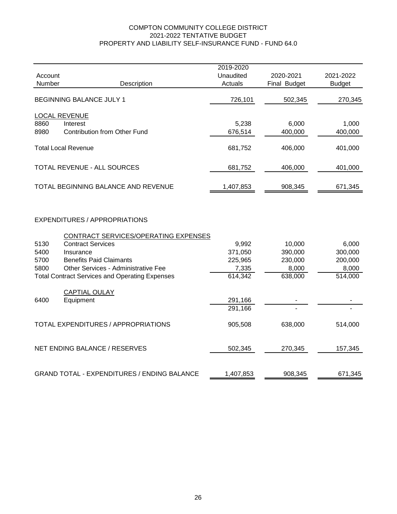#### COMPTON COMMUNITY COLLEGE DISTRICT 2021-2022 TENTATIVE BUDGET PROPERTY AND LIABILITY SELF-INSURANCE FUND - FUND 64.0

|                                                       |                                      | 2019-2020 |              |               |
|-------------------------------------------------------|--------------------------------------|-----------|--------------|---------------|
| Account                                               |                                      | Unaudited | 2020-2021    | 2021-2022     |
| Number                                                | Description                          | Actuals   | Final Budget | <b>Budget</b> |
| <b>BEGINNING BALANCE JULY 1</b>                       |                                      | 726,101   | 502,345      | 270,345       |
|                                                       | <b>LOCAL REVENUE</b>                 |           |              |               |
| 8860                                                  | Interest                             | 5,238     | 6,000        | 1,000         |
| 8980                                                  | <b>Contribution from Other Fund</b>  | 676,514   | 400,000      | 400,000       |
|                                                       | <b>Total Local Revenue</b>           | 681,752   | 406,000      | 401,000       |
|                                                       | TOTAL REVENUE - ALL SOURCES          | 681,752   | 406,000      | 401,000       |
|                                                       | TOTAL BEGINNING BALANCE AND REVENUE  | 1,407,853 | 908,345      | 671,345       |
|                                                       | <b>EXPENDITURES / APPROPRIATIONS</b> |           |              |               |
|                                                       | CONTRACT SERVICES/OPERATING EXPENSES |           |              |               |
| 5130                                                  | <b>Contract Services</b>             | 9,992     | 10,000       | 6,000         |
| 5400                                                  | Insurance                            | 371,050   | 390,000      | 300,000       |
| 5700                                                  | <b>Benefits Paid Claimants</b>       | 225,965   | 230,000      | 200,000       |
| 5800                                                  | Other Services - Administrative Fee  | 7,335     | 8,000        | 8,000         |
| <b>Total Contract Services and Operating Expenses</b> |                                      | 614,342   | 638,000      | 514,000       |
|                                                       | <b>CAPTIAL OULAY</b>                 |           |              |               |
| 6400                                                  | Equipment                            | 291,166   |              |               |
|                                                       |                                      | 291,166   |              |               |

| TOTAL EXPENDITURES / APPROPRIATIONS                | 905.508   | 638,000 | 514,000 |
|----------------------------------------------------|-----------|---------|---------|
| NET ENDING BALANCE / RESERVES                      | 502.345   | 270,345 | 157,345 |
| <b>GRAND TOTAL - EXPENDITURES / ENDING BALANCE</b> | 1,407,853 | 908,345 | 671,345 |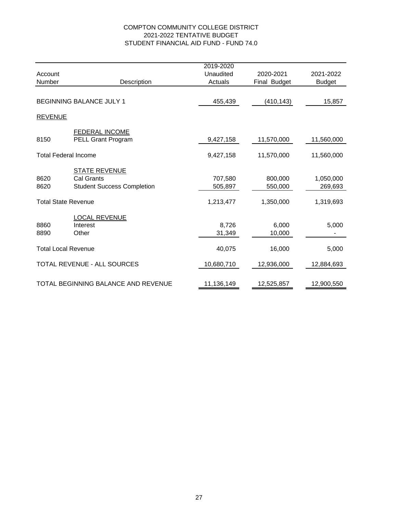#### COMPTON COMMUNITY COLLEGE DISTRICT 2021-2022 TENTATIVE BUDGET STUDENT FINANCIAL AID FUND - FUND 74.0

|                                     |                                   | 2019-2020  |              |               |
|-------------------------------------|-----------------------------------|------------|--------------|---------------|
| Account                             |                                   | Unaudited  | 2020-2021    | 2021-2022     |
| Number                              | Description                       | Actuals    | Final Budget | <b>Budget</b> |
|                                     |                                   |            |              |               |
| <b>BEGINNING BALANCE JULY 1</b>     |                                   | 455,439    | (410, 143)   | 15,857        |
| <b>REVENUE</b>                      |                                   |            |              |               |
|                                     | <b>FEDERAL INCOME</b>             |            |              |               |
| 8150                                | PELL Grant Program                | 9,427,158  | 11,570,000   | 11,560,000    |
| <b>Total Federal Income</b>         |                                   | 9,427,158  | 11,570,000   | 11,560,000    |
|                                     | <b>STATE REVENUE</b>              |            |              |               |
| 8620                                | Cal Grants                        | 707,580    | 800,000      | 1,050,000     |
| 8620                                | <b>Student Success Completion</b> | 505,897    | 550,000      | 269,693       |
| <b>Total State Revenue</b>          |                                   | 1,213,477  | 1,350,000    | 1,319,693     |
|                                     | <b>LOCAL REVENUE</b>              |            |              |               |
| 8860                                | Interest                          | 8,726      | 6,000        | 5,000         |
| 8890                                | Other                             | 31,349     | 10,000       |               |
| <b>Total Local Revenue</b>          |                                   | 40,075     | 16,000       | 5,000         |
| <b>TOTAL REVENUE - ALL SOURCES</b>  |                                   | 10,680,710 | 12,936,000   | 12,884,693    |
|                                     |                                   |            |              |               |
| TOTAL BEGINNING BALANCE AND REVENUE |                                   | 11,136,149 | 12,525,857   | 12,900,550    |